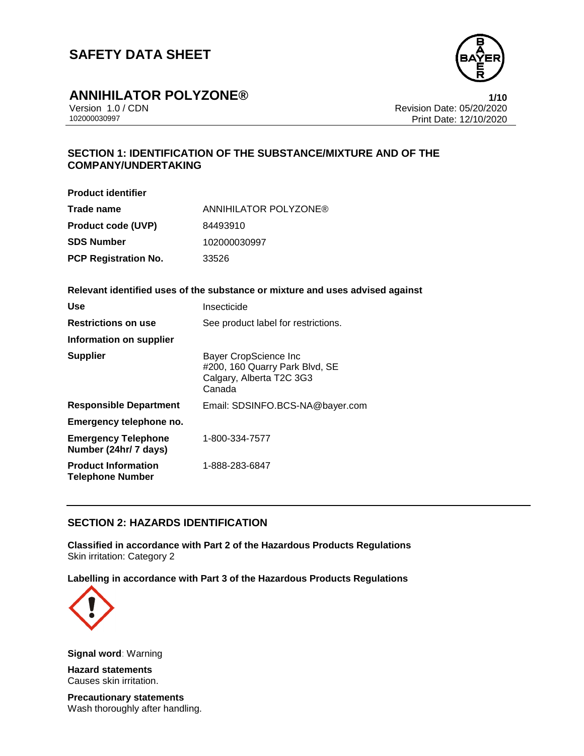

# **ANNIHILATOR POLYZONE®**<br>Version 1.0 / CDN<br>Revision Date: 05/20/2020

Version 1.0 / CDN Revision Date: 05/20/2020 Print Date: 12/10/2020

## **SECTION 1: IDENTIFICATION OF THE SUBSTANCE/MIXTURE AND OF THE COMPANY/UNDERTAKING**

| <b>Product identifier</b>   |                       |
|-----------------------------|-----------------------|
| Trade name                  | ANNIHILATOR POLYZONE® |
| <b>Product code (UVP)</b>   | 84493910              |
| SDS Number                  | 102000030997          |
| <b>PCP Registration No.</b> | 33526                 |

#### **Relevant identified uses of the substance or mixture and uses advised against**

| Use                                                   | Insecticide                                                                                   |
|-------------------------------------------------------|-----------------------------------------------------------------------------------------------|
| <b>Restrictions on use</b>                            | See product label for restrictions.                                                           |
| Information on supplier                               |                                                                                               |
| <b>Supplier</b>                                       | Bayer CropScience Inc<br>#200, 160 Quarry Park Blvd, SE<br>Calgary, Alberta T2C 3G3<br>Canada |
| <b>Responsible Department</b>                         | Email: SDSINFO.BCS-NA@bayer.com                                                               |
| Emergency telephone no.                               |                                                                                               |
| <b>Emergency Telephone</b><br>Number (24hr/ 7 days)   | 1-800-334-7577                                                                                |
| <b>Product Information</b><br><b>Telephone Number</b> | 1-888-283-6847                                                                                |

## **SECTION 2: HAZARDS IDENTIFICATION**

**Classified in accordance with Part 2 of the Hazardous Products Regulations** Skin irritation: Category 2

**Labelling in accordance with Part 3 of the Hazardous Products Regulations**



**Signal word**: Warning

**Hazard statements** Causes skin irritation.

**Precautionary statements** Wash thoroughly after handling.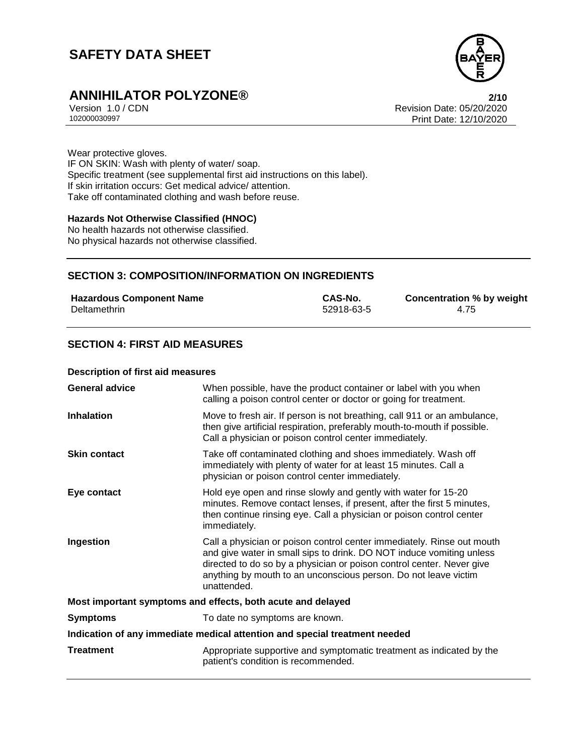

# **ANNIHILATOR POLYZONE®**<br>Version 1.0 / CDN<br>Revision Date: 05/20/2020

Version 1.0 / CDN Revision Date: 05/20/2020 Print Date: 12/10/2020

Wear protective gloves. IF ON SKIN: Wash with plenty of water/ soap. Specific treatment (see supplemental first aid instructions on this label). If skin irritation occurs: Get medical advice/ attention. Take off contaminated clothing and wash before reuse.

#### **Hazards Not Otherwise Classified (HNOC)**

No health hazards not otherwise classified. No physical hazards not otherwise classified.

## **SECTION 3: COMPOSITION/INFORMATION ON INGREDIENTS**

| <b>Hazardous Component Name</b> | CAS-No.    | <b>Concentration % by weight</b> |
|---------------------------------|------------|----------------------------------|
| Deltamethrin                    | 52918-63-5 | 4.75                             |

## **SECTION 4: FIRST AID MEASURES**

#### **Description of first aid measures**

| <b>General advice</b>                                                      | When possible, have the product container or label with you when<br>calling a poison control center or doctor or going for treatment.                                                                                                                                                                     |  |
|----------------------------------------------------------------------------|-----------------------------------------------------------------------------------------------------------------------------------------------------------------------------------------------------------------------------------------------------------------------------------------------------------|--|
| <b>Inhalation</b>                                                          | Move to fresh air. If person is not breathing, call 911 or an ambulance,<br>then give artificial respiration, preferably mouth-to-mouth if possible.<br>Call a physician or poison control center immediately.                                                                                            |  |
| <b>Skin contact</b>                                                        | Take off contaminated clothing and shoes immediately. Wash off<br>immediately with plenty of water for at least 15 minutes. Call a<br>physician or poison control center immediately.                                                                                                                     |  |
| Eye contact                                                                | Hold eye open and rinse slowly and gently with water for 15-20<br>minutes. Remove contact lenses, if present, after the first 5 minutes,<br>then continue rinsing eye. Call a physician or poison control center<br>immediately.                                                                          |  |
| Ingestion                                                                  | Call a physician or poison control center immediately. Rinse out mouth<br>and give water in small sips to drink. DO NOT induce vomiting unless<br>directed to do so by a physician or poison control center. Never give<br>anything by mouth to an unconscious person. Do not leave victim<br>unattended. |  |
| Most important symptoms and effects, both acute and delayed                |                                                                                                                                                                                                                                                                                                           |  |
| <b>Symptoms</b>                                                            | To date no symptoms are known.                                                                                                                                                                                                                                                                            |  |
| Indication of any immediate medical attention and special treatment needed |                                                                                                                                                                                                                                                                                                           |  |
| <b>Treatment</b>                                                           | Appropriate supportive and symptomatic treatment as indicated by the<br>patient's condition is recommended.                                                                                                                                                                                               |  |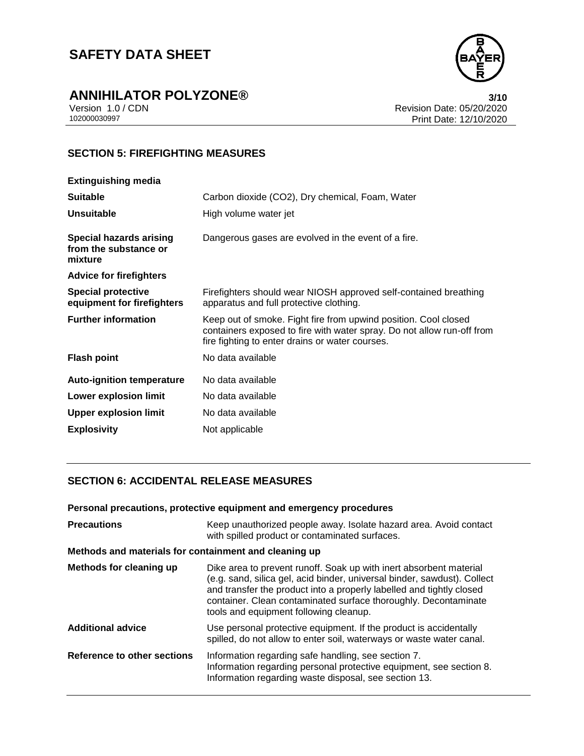

# **ANNIHILATOR POLYZONE®**<br>Version 1.0 / CDN<br>Revision Date: 05/20/2020

Version 1.0 / CDN<br>102000030997<br>Print Date: 12/10/2020 Print Date: 12/10/2020

## **SECTION 5: FIREFIGHTING MEASURES**

| <b>Extinguishing media</b>                                         |                                                                                                                                                                                              |
|--------------------------------------------------------------------|----------------------------------------------------------------------------------------------------------------------------------------------------------------------------------------------|
| <b>Suitable</b>                                                    | Carbon dioxide (CO2), Dry chemical, Foam, Water                                                                                                                                              |
| <b>Unsuitable</b>                                                  | High volume water jet                                                                                                                                                                        |
| <b>Special hazards arising</b><br>from the substance or<br>mixture | Dangerous gases are evolved in the event of a fire.                                                                                                                                          |
| <b>Advice for firefighters</b>                                     |                                                                                                                                                                                              |
| <b>Special protective</b><br>equipment for firefighters            | Firefighters should wear NIOSH approved self-contained breathing<br>apparatus and full protective clothing.                                                                                  |
| <b>Further information</b>                                         | Keep out of smoke. Fight fire from upwind position. Cool closed<br>containers exposed to fire with water spray. Do not allow run-off from<br>fire fighting to enter drains or water courses. |
| <b>Flash point</b>                                                 | No data available                                                                                                                                                                            |
| <b>Auto-ignition temperature</b>                                   | No data available                                                                                                                                                                            |
| <b>Lower explosion limit</b>                                       | No data available                                                                                                                                                                            |
| <b>Upper explosion limit</b>                                       | No data available                                                                                                                                                                            |
| <b>Explosivity</b>                                                 | Not applicable                                                                                                                                                                               |

## **SECTION 6: ACCIDENTAL RELEASE MEASURES**

**Personal precautions, protective equipment and emergency procedures**

| <b>Precautions</b>                                    | Keep unauthorized people away. Isolate hazard area. Avoid contact<br>with spilled product or contaminated surfaces.                                                                                                                                                                                                                 |  |
|-------------------------------------------------------|-------------------------------------------------------------------------------------------------------------------------------------------------------------------------------------------------------------------------------------------------------------------------------------------------------------------------------------|--|
| Methods and materials for containment and cleaning up |                                                                                                                                                                                                                                                                                                                                     |  |
| Methods for cleaning up                               | Dike area to prevent runoff. Soak up with inert absorbent material<br>(e.g. sand, silica gel, acid binder, universal binder, sawdust). Collect<br>and transfer the product into a properly labelled and tightly closed<br>container. Clean contaminated surface thoroughly. Decontaminate<br>tools and equipment following cleanup. |  |
| <b>Additional advice</b>                              | Use personal protective equipment. If the product is accidentally<br>spilled, do not allow to enter soil, waterways or waste water canal.                                                                                                                                                                                           |  |
| Reference to other sections                           | Information regarding safe handling, see section 7.<br>Information regarding personal protective equipment, see section 8.<br>Information regarding waste disposal, see section 13.                                                                                                                                                 |  |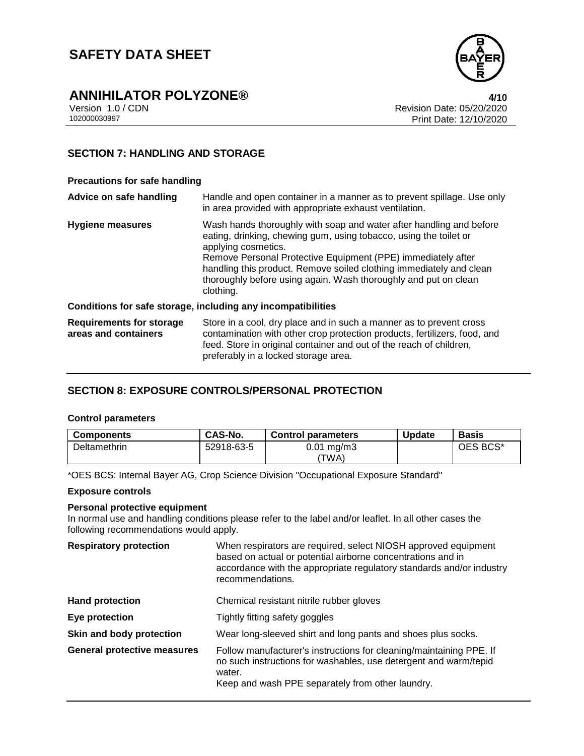

# **ANNIHILATOR POLYZONE®**<br>Version 1.0 / CDN<br>Revision Date: 05/20/2020

Version 1.0 / CDN Revision Date: 05/20/2020 Print Date: 12/10/2020

## **SECTION 7: HANDLING AND STORAGE**

#### **Precautions for safe handling**

| Advice on safe handling                                 | Handle and open container in a manner as to prevent spillage. Use only<br>in area provided with appropriate exhaust ventilation.                                                                                                                                                                                                                                                       |
|---------------------------------------------------------|----------------------------------------------------------------------------------------------------------------------------------------------------------------------------------------------------------------------------------------------------------------------------------------------------------------------------------------------------------------------------------------|
| <b>Hygiene measures</b>                                 | Wash hands thoroughly with soap and water after handling and before<br>eating, drinking, chewing gum, using tobacco, using the toilet or<br>applying cosmetics.<br>Remove Personal Protective Equipment (PPE) immediately after<br>handling this product. Remove soiled clothing immediately and clean<br>thoroughly before using again. Wash thoroughly and put on clean<br>clothing. |
|                                                         | Conditions for safe storage, including any incompatibilities                                                                                                                                                                                                                                                                                                                           |
| <b>Requirements for storage</b><br>areas and containers | Store in a cool, dry place and in such a manner as to prevent cross<br>contamination with other crop protection products, fertilizers, food, and<br>feed. Store in original container and out of the reach of children,<br>preferably in a locked storage area.                                                                                                                        |

## **SECTION 8: EXPOSURE CONTROLS/PERSONAL PROTECTION**

#### **Control parameters**

| <b>Components</b>   | CAS-No.    | <b>Control parameters</b>         | <b>Update</b> | <b>Basis</b> |
|---------------------|------------|-----------------------------------|---------------|--------------|
| <b>Deltamethrin</b> | 52918-63-5 | $0.01 \,\mathrm{mq/m}$ 3<br>'TWA) |               | OES BCS*     |

\*OES BCS: Internal Bayer AG, Crop Science Division "Occupational Exposure Standard"

#### **Exposure controls**

#### **Personal protective equipment**

In normal use and handling conditions please refer to the label and/or leaflet. In all other cases the following recommendations would apply.

| <b>Respiratory protection</b>      | When respirators are required, select NIOSH approved equipment<br>based on actual or potential airborne concentrations and in<br>accordance with the appropriate regulatory standards and/or industry<br>recommendations. |
|------------------------------------|---------------------------------------------------------------------------------------------------------------------------------------------------------------------------------------------------------------------------|
| <b>Hand protection</b>             | Chemical resistant nitrile rubber gloves                                                                                                                                                                                  |
| Eye protection                     | Tightly fitting safety goggles                                                                                                                                                                                            |
| Skin and body protection           | Wear long-sleeved shirt and long pants and shoes plus socks.                                                                                                                                                              |
| <b>General protective measures</b> | Follow manufacturer's instructions for cleaning/maintaining PPE. If<br>no such instructions for washables, use detergent and warm/tepid<br>water.<br>Keep and wash PPE separately from other laundry.                     |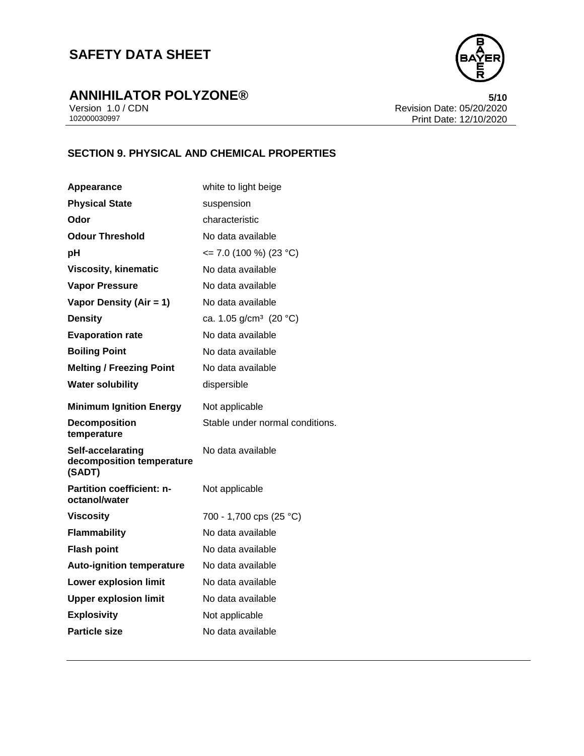

# **ANNIHILATOR POLYZONE®**<br>Version 1.0 / CDN<br>Revision Date: 05/20/2020

Version 1.0 / CDN<br>102000030997<br>Print Date: 12/10/2020 Print Date: 12/10/2020

## **SECTION 9. PHYSICAL AND CHEMICAL PROPERTIES**

| Appearance                                               | white to light beige               |
|----------------------------------------------------------|------------------------------------|
| <b>Physical State</b>                                    | suspension                         |
| Odor                                                     | characteristic                     |
| <b>Odour Threshold</b>                                   | No data available                  |
| рH                                                       | $\le$ 7.0 (100 %) (23 °C)          |
| <b>Viscosity, kinematic</b>                              | No data available                  |
| <b>Vapor Pressure</b>                                    | No data available                  |
| Vapor Density (Air = 1)                                  | No data available                  |
| <b>Density</b>                                           | ca. 1.05 g/cm <sup>3</sup> (20 °C) |
| <b>Evaporation rate</b>                                  | No data available                  |
| <b>Boiling Point</b>                                     | No data available                  |
| <b>Melting / Freezing Point</b>                          | No data available                  |
| <b>Water solubility</b>                                  | dispersible                        |
| <b>Minimum Ignition Energy</b>                           | Not applicable                     |
| <b>Decomposition</b><br>temperature                      | Stable under normal conditions.    |
|                                                          |                                    |
| Self-accelarating<br>decomposition temperature<br>(SADT) | No data available                  |
| <b>Partition coefficient: n-</b><br>octanol/water        | Not applicable                     |
| <b>Viscosity</b>                                         | 700 - 1,700 cps (25 °C)            |
| <b>Flammability</b>                                      | No data available                  |
| <b>Flash point</b>                                       | No data available                  |
| <b>Auto-ignition temperature</b>                         | No data available                  |
| <b>Lower explosion limit</b>                             | No data available                  |
| <b>Upper explosion limit</b>                             | No data available                  |
| <b>Explosivity</b>                                       | Not applicable                     |
| <b>Particle size</b>                                     | No data available                  |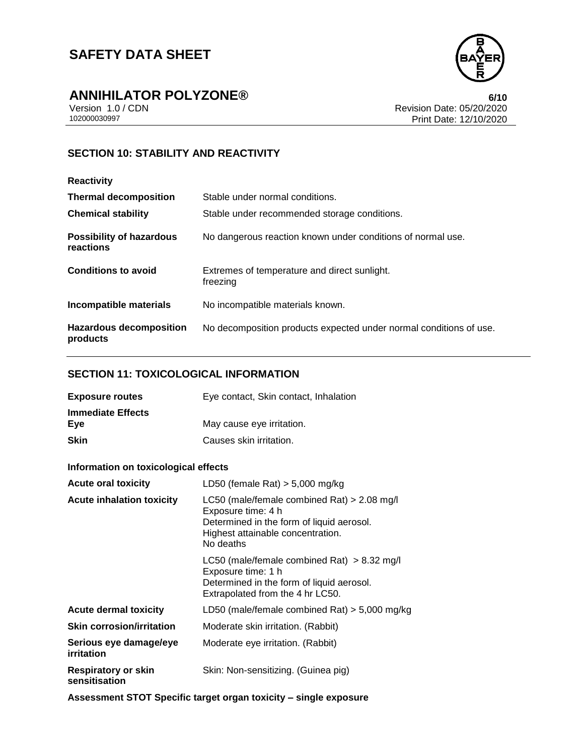

# **ANNIHILATOR POLYZONE®**<br>Version 1.0 / CDN<br>Revision Date: 05/20/2020

Version 1.0 / CDN<br>102000030997<br>Print Date: 12/10/2020 Print Date: 12/10/2020

## **SECTION 10: STABILITY AND REACTIVITY**

| <b>Reactivity</b>                            |                                                                    |
|----------------------------------------------|--------------------------------------------------------------------|
| <b>Thermal decomposition</b>                 | Stable under normal conditions.                                    |
| <b>Chemical stability</b>                    | Stable under recommended storage conditions.                       |
| <b>Possibility of hazardous</b><br>reactions | No dangerous reaction known under conditions of normal use.        |
| <b>Conditions to avoid</b>                   | Extremes of temperature and direct sunlight.<br>freezing           |
| Incompatible materials                       | No incompatible materials known.                                   |
| <b>Hazardous decomposition</b><br>products   | No decomposition products expected under normal conditions of use. |

## **SECTION 11: TOXICOLOGICAL INFORMATION**

| <b>Exposure routes</b>          | Eye contact, Skin contact, Inhalation |
|---------------------------------|---------------------------------------|
| <b>Immediate Effects</b><br>Eve | May cause eye irritation.             |
| Skin                            | Causes skin irritation.               |

#### **Information on toxicological effects**

| <b>Acute oral toxicity</b>                  | LD50 (female Rat) $> 5,000$ mg/kg                                                                                                                                  |
|---------------------------------------------|--------------------------------------------------------------------------------------------------------------------------------------------------------------------|
| <b>Acute inhalation toxicity</b>            | LC50 (male/female combined Rat) $> 2.08$ mg/l<br>Exposure time: 4 h<br>Determined in the form of liquid aerosol.<br>Highest attainable concentration.<br>No deaths |
|                                             | LC50 (male/female combined Rat) $> 8.32$ mg/l<br>Exposure time: 1 h<br>Determined in the form of liquid aerosol.<br>Extrapolated from the 4 hr LC50.               |
| <b>Acute dermal toxicity</b>                | LD50 (male/female combined Rat) $>$ 5,000 mg/kg                                                                                                                    |
| <b>Skin corrosion/irritation</b>            | Moderate skin irritation. (Rabbit)                                                                                                                                 |
| Serious eye damage/eye<br>irritation        | Moderate eye irritation. (Rabbit)                                                                                                                                  |
| <b>Respiratory or skin</b><br>sensitisation | Skin: Non-sensitizing. (Guinea pig)                                                                                                                                |

**Assessment STOT Specific target organ toxicity – single exposure**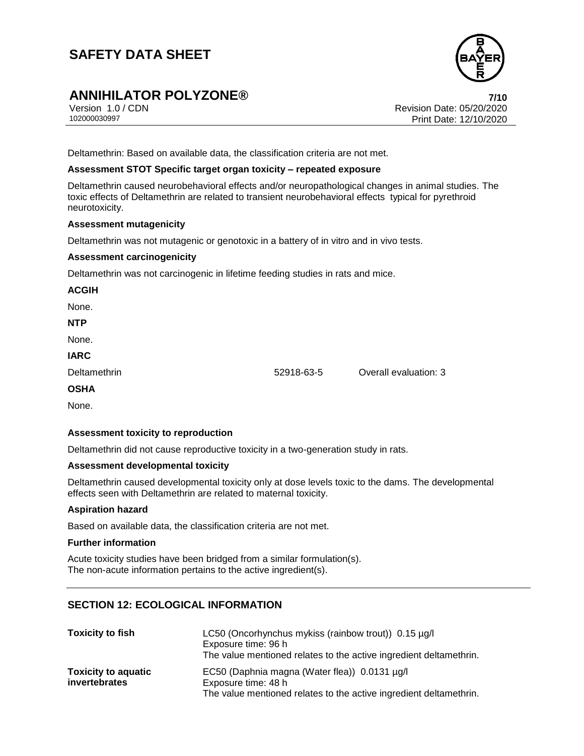# **ANNIHILATOR POLYZONE® 7/10**

Version 1.0 / CDN<br>102000030997<br>Print Date: 12/10/2020 Print Date: 12/10/2020

Deltamethrin: Based on available data, the classification criteria are not met.

#### **Assessment STOT Specific target organ toxicity – repeated exposure**

Deltamethrin caused neurobehavioral effects and/or neuropathological changes in animal studies. The toxic effects of Deltamethrin are related to transient neurobehavioral effects typical for pyrethroid neurotoxicity.

#### **Assessment mutagenicity**

Deltamethrin was not mutagenic or genotoxic in a battery of in vitro and in vivo tests.

#### **Assessment carcinogenicity**

Deltamethrin was not carcinogenic in lifetime feeding studies in rats and mice.

# **ACGIH** None. **NTP** None. **IARC** Deltamethrin 52918-63-5 Overall evaluation: 3 **OSHA** None.

#### **Assessment toxicity to reproduction**

Deltamethrin did not cause reproductive toxicity in a two-generation study in rats.

#### **Assessment developmental toxicity**

Deltamethrin caused developmental toxicity only at dose levels toxic to the dams. The developmental effects seen with Deltamethrin are related to maternal toxicity.

#### **Aspiration hazard**

Based on available data, the classification criteria are not met.

#### **Further information**

Acute toxicity studies have been bridged from a similar formulation(s). The non-acute information pertains to the active ingredient(s).

### **SECTION 12: ECOLOGICAL INFORMATION**

| <b>Toxicity to fish</b>    | LC50 (Oncorhynchus mykiss (rainbow trout)) 0.15 µg/l<br>Exposure time: 96 h               |
|----------------------------|-------------------------------------------------------------------------------------------|
|                            | The value mentioned relates to the active ingredient deltamethrin.                        |
| <b>Toxicity to aquatic</b> | EC50 (Daphnia magna (Water flea)) 0.0131 µg/l                                             |
| invertebrates              | Exposure time: 48 h<br>The value mentioned relates to the active ingredient deltamethrin. |

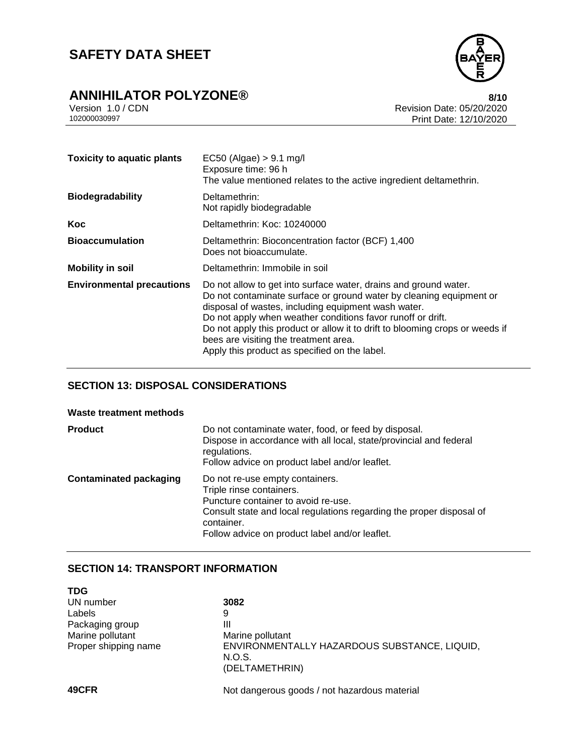

# **ANNIHILATOR POLYZONE®**<br>Version 1.0 / CDN<br>Revision Date: 05/20/2020

Version 1.0 / CDN<br>102000030997<br>Print Date: 12/10/2020 Print Date: 12/10/2020

| <b>Toxicity to aquatic plants</b> | $EC50$ (Algae) $> 9.1$ mg/l<br>Exposure time: 96 h<br>The value mentioned relates to the active ingredient deltamethrin.                                                                                                                                                                                                                                                                                                                |
|-----------------------------------|-----------------------------------------------------------------------------------------------------------------------------------------------------------------------------------------------------------------------------------------------------------------------------------------------------------------------------------------------------------------------------------------------------------------------------------------|
| <b>Biodegradability</b>           | Deltamethrin:<br>Not rapidly biodegradable                                                                                                                                                                                                                                                                                                                                                                                              |
| Koc                               | Deltamethrin: Koc: 10240000                                                                                                                                                                                                                                                                                                                                                                                                             |
| <b>Bioaccumulation</b>            | Deltamethrin: Bioconcentration factor (BCF) 1,400<br>Does not bioaccumulate.                                                                                                                                                                                                                                                                                                                                                            |
| <b>Mobility in soil</b>           | Deltamethrin: Immobile in soil                                                                                                                                                                                                                                                                                                                                                                                                          |
| <b>Environmental precautions</b>  | Do not allow to get into surface water, drains and ground water.<br>Do not contaminate surface or ground water by cleaning equipment or<br>disposal of wastes, including equipment wash water.<br>Do not apply when weather conditions favor runoff or drift.<br>Do not apply this product or allow it to drift to blooming crops or weeds if<br>bees are visiting the treatment area.<br>Apply this product as specified on the label. |

## **SECTION 13: DISPOSAL CONSIDERATIONS**

#### **Waste treatment methods**

| <b>Product</b>                | Do not contaminate water, food, or feed by disposal.<br>Dispose in accordance with all local, state/provincial and federal<br>regulations.<br>Follow advice on product label and/or leaflet.                                               |
|-------------------------------|--------------------------------------------------------------------------------------------------------------------------------------------------------------------------------------------------------------------------------------------|
| <b>Contaminated packaging</b> | Do not re-use empty containers.<br>Triple rinse containers.<br>Puncture container to avoid re-use.<br>Consult state and local regulations regarding the proper disposal of<br>container.<br>Follow advice on product label and/or leaflet. |

## **SECTION 14: TRANSPORT INFORMATION**

| <b>TDG</b>           |                                                                          |
|----------------------|--------------------------------------------------------------------------|
| UN number            | 3082                                                                     |
| Labels               | 9                                                                        |
| Packaging group      | Ш                                                                        |
| Marine pollutant     | Marine pollutant                                                         |
| Proper shipping name | ENVIRONMENTALLY HAZARDOUS SUBSTANCE, LIQUID,<br>N.O.S.<br>(DELTAMETHRIN) |
| 49CFR                | Not dangerous goods / not hazardous material                             |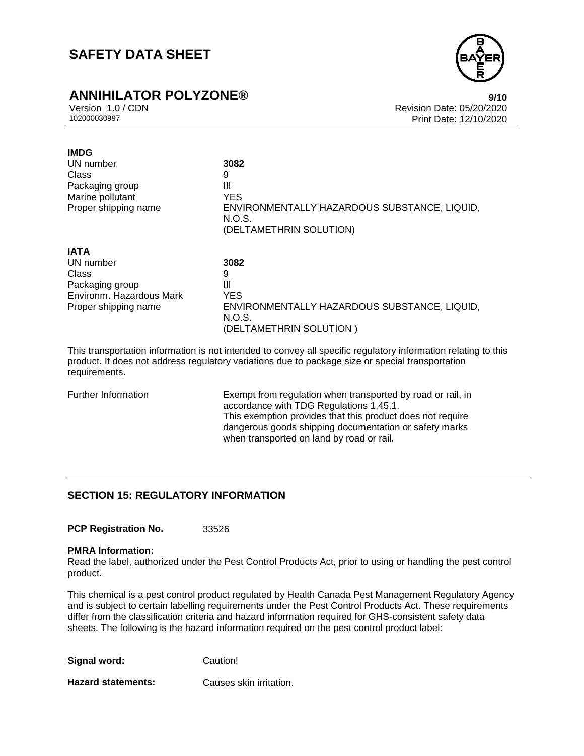## **ANNIHILATOR POLYZONE® 9/10**



Version 1.0 / CDN Revision Date: 05/20/2020 Print Date: 12/10/2020

| <b>IMDG</b>              |                                                                                   |
|--------------------------|-----------------------------------------------------------------------------------|
| UN number                | 3082                                                                              |
| Class                    | 9                                                                                 |
| Packaging group          | Ш                                                                                 |
| Marine pollutant         | <b>YES</b>                                                                        |
| Proper shipping name     | ENVIRONMENTALLY HAZARDOUS SUBSTANCE, LIQUID,<br>N.O.S.<br>(DELTAMETHRIN SOLUTION) |
| <b>IATA</b>              |                                                                                   |
| UN number                | 3082                                                                              |
| Class                    | 9                                                                                 |
| Packaging group          | Ш                                                                                 |
| Environm. Hazardous Mark | <b>YES</b>                                                                        |
| Proper shipping name     | ENVIRONMENTALLY HAZARDOUS SUBSTANCE, LIQUID,<br>N.O.S.                            |
|                          | (DELTAMETHRIN SOLUTION)                                                           |

This transportation information is not intended to convey all specific regulatory information relating to this product. It does not address regulatory variations due to package size or special transportation requirements.

Further Information Exempt from regulation when transported by road or rail, in accordance with TDG Regulations 1.45.1. This exemption provides that this product does not require dangerous goods shipping documentation or safety marks when transported on land by road or rail.

#### **SECTION 15: REGULATORY INFORMATION**

**PCP Registration No.** 33526

#### **PMRA Information:**

Read the label, authorized under the Pest Control Products Act, prior to using or handling the pest control product.

This chemical is a pest control product regulated by Health Canada Pest Management Regulatory Agency and is subject to certain labelling requirements under the Pest Control Products Act. These requirements differ from the classification criteria and hazard information required for GHS-consistent safety data sheets. The following is the hazard information required on the pest control product label:

| Signal word: | Caution! |
|--------------|----------|
|--------------|----------|

**Hazard statements:** Causes skin irritation.